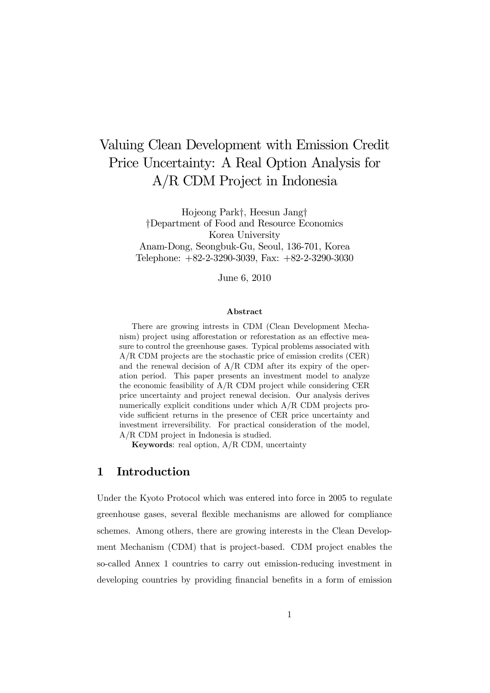# Valuing Clean Development with Emission Credit Price Uncertainty: A Real Option Analysis for A/R CDM Project in Indonesia

Hojeong Park†, Heesun Jang† †Department of Food and Resource Economics Korea University Anam-Dong, Seongbuk-Gu, Seoul, 136-701, Korea Telephone: +82-2-3290-3039, Fax: +82-2-3290-3030

June 6, 2010

#### Abstract

There are growing intrests in CDM (Clean Development Mechanism) project using afforestation or reforestation as an effective measure to control the greenhouse gases. Typical problems associated with A/R CDM projects are the stochastic price of emission credits (CER) and the renewal decision of  $A/R$  CDM after its expiry of the operation period. This paper presents an investment model to analyze the economic feasibility of A/R CDM project while considering CER price uncertainty and project renewal decision. Our analysis derives numerically explicit conditions under which A/R CDM projects provide sufficient returns in the presence of CER price uncertainty and investment irreversibility. For practical consideration of the model, A/R CDM project in Indonesia is studied.

Keywords: real option, A/R CDM, uncertainty

### 1 Introduction

Under the Kyoto Protocol which was entered into force in 2005 to regulate greenhouse gases, several flexible mechanisms are allowed for compliance schemes. Among others, there are growing interests in the Clean Development Mechanism (CDM) that is project-based. CDM project enables the so-called Annex 1 countries to carry out emission-reducing investment in developing countries by providing financial benefits in a form of emission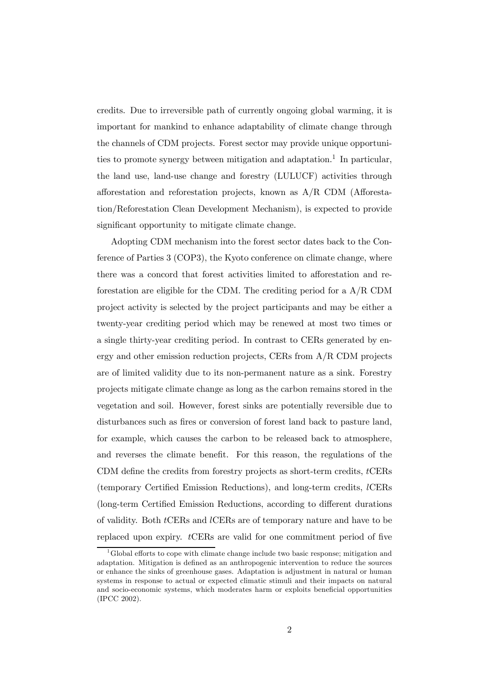credits. Due to irreversible path of currently ongoing global warming, it is important for mankind to enhance adaptability of climate change through the channels of CDM projects. Forest sector may provide unique opportunities to promote synergy between mitigation and adaptation.<sup>1</sup> In particular, the land use, land-use change and forestry (LULUCF) activities through afforestation and reforestation projects, known as A/R CDM (Afforestation/Reforestation Clean Development Mechanism), is expected to provide significant opportunity to mitigate climate change.

Adopting CDM mechanism into the forest sector dates back to the Conference of Parties 3 (COP3), the Kyoto conference on climate change, where there was a concord that forest activities limited to afforestation and reforestation are eligible for the CDM. The crediting period for a  $A/R$  CDM project activity is selected by the project participants and may be either a twenty-year crediting period which may be renewed at most two times or a single thirty-year crediting period. In contrast to CERs generated by energy and other emission reduction projects, CERs from A/R CDM projects are of limited validity due to its non-permanent nature as a sink. Forestry projects mitigate climate change as long as the carbon remains stored in the vegetation and soil. However, forest sinks are potentially reversible due to disturbances such as fires or conversion of forest land back to pasture land, for example, which causes the carbon to be released back to atmosphere, and reverses the climate benefit. For this reason, the regulations of the CDM define the credits from forestry projects as short-term credits, tCERs (temporary Certified Emission Reductions), and long-term credits, lCERs (long-term Certified Emission Reductions, according to different durations of validity. Both tCERs and lCERs are of temporary nature and have to be replaced upon expiry. tCERs are valid for one commitment period of five

<sup>&</sup>lt;sup>1</sup>Global efforts to cope with climate change include two basic response; mitigation and adaptation. Mitigation is defined as an anthropogenic intervention to reduce the sources or enhance the sinks of greenhouse gases. Adaptation is adjustment in natural or human systems in response to actual or expected climatic stimuli and their impacts on natural and socio-economic systems, which moderates harm or exploits beneficial opportunities (IPCC 2002).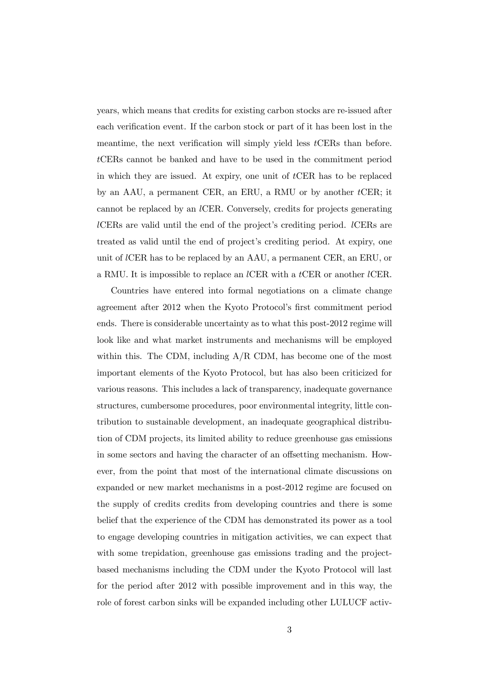years, which means that credits for existing carbon stocks are re-issued after each verification event. If the carbon stock or part of it has been lost in the meantime, the next verification will simply yield less tCERs than before. tCERs cannot be banked and have to be used in the commitment period in which they are issued. At expiry, one unit of tCER has to be replaced by an AAU, a permanent CER, an ERU, a RMU or by another tCER; it cannot be replaced by an lCER. Conversely, credits for projects generating lCERs are valid until the end of the project's crediting period. lCERs are treated as valid until the end of project's crediting period. At expiry, one unit of lCER has to be replaced by an AAU, a permanent CER, an ERU, or a RMU. It is impossible to replace an lCER with a tCER or another lCER.

Countries have entered into formal negotiations on a climate change agreement after 2012 when the Kyoto Protocol's first commitment period ends. There is considerable uncertainty as to what this post-2012 regime will look like and what market instruments and mechanisms will be employed within this. The CDM, including  $A/R$  CDM, has become one of the most important elements of the Kyoto Protocol, but has also been criticized for various reasons. This includes a lack of transparency, inadequate governance structures, cumbersome procedures, poor environmental integrity, little contribution to sustainable development, an inadequate geographical distribution of CDM projects, its limited ability to reduce greenhouse gas emissions in some sectors and having the character of an offsetting mechanism. However, from the point that most of the international climate discussions on expanded or new market mechanisms in a post-2012 regime are focused on the supply of credits credits from developing countries and there is some belief that the experience of the CDM has demonstrated its power as a tool to engage developing countries in mitigation activities, we can expect that with some trepidation, greenhouse gas emissions trading and the projectbased mechanisms including the CDM under the Kyoto Protocol will last for the period after 2012 with possible improvement and in this way, the role of forest carbon sinks will be expanded including other LULUCF activ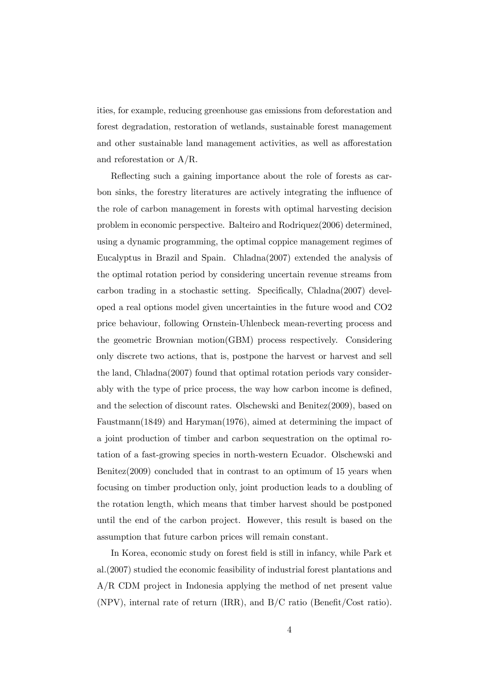ities, for example, reducing greenhouse gas emissions from deforestation and forest degradation, restoration of wetlands, sustainable forest management and other sustainable land management activities, as well as afforestation and reforestation or A/R.

Reflecting such a gaining importance about the role of forests as carbon sinks, the forestry literatures are actively integrating the influence of the role of carbon management in forests with optimal harvesting decision problem in economic perspective. Balteiro and Rodriquez(2006) determined, using a dynamic programming, the optimal coppice management regimes of Eucalyptus in Brazil and Spain. Chladna(2007) extended the analysis of the optimal rotation period by considering uncertain revenue streams from carbon trading in a stochastic setting. Specifically, Chladna(2007) developed a real options model given uncertainties in the future wood and CO2 price behaviour, following Ornstein-Uhlenbeck mean-reverting process and the geometric Brownian motion(GBM) process respectively. Considering only discrete two actions, that is, postpone the harvest or harvest and sell the land, Chladna(2007) found that optimal rotation periods vary considerably with the type of price process, the way how carbon income is defined, and the selection of discount rates. Olschewski and Benitez(2009), based on Faustmann(1849) and Haryman(1976), aimed at determining the impact of a joint production of timber and carbon sequestration on the optimal rotation of a fast-growing species in north-western Ecuador. Olschewski and Benitez(2009) concluded that in contrast to an optimum of 15 years when focusing on timber production only, joint production leads to a doubling of the rotation length, which means that timber harvest should be postponed until the end of the carbon project. However, this result is based on the assumption that future carbon prices will remain constant.

In Korea, economic study on forest field is still in infancy, while Park et al.(2007) studied the economic feasibility of industrial forest plantations and A/R CDM project in Indonesia applying the method of net present value (NPV), internal rate of return (IRR), and B/C ratio (Benefit/Cost ratio).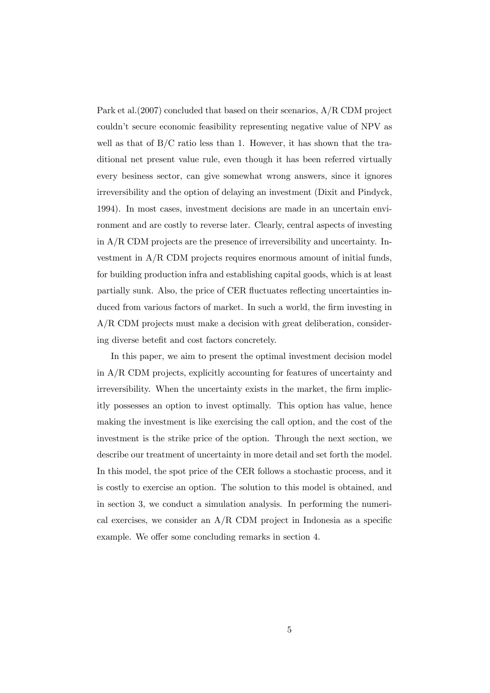Park et al.(2007) concluded that based on their scenarios, A/R CDM project couldn't secure economic feasibility representing negative value of NPV as well as that of B/C ratio less than 1. However, it has shown that the traditional net present value rule, even though it has been referred virtually every besiness sector, can give somewhat wrong answers, since it ignores irreversibility and the option of delaying an investment (Dixit and Pindyck, 1994). In most cases, investment decisions are made in an uncertain environment and are costly to reverse later. Clearly, central aspects of investing in A/R CDM projects are the presence of irreversibility and uncertainty. Investment in A/R CDM projects requires enormous amount of initial funds, for building production infra and establishing capital goods, which is at least partially sunk. Also, the price of CER fluctuates reflecting uncertainties induced from various factors of market. In such a world, the firm investing in A/R CDM projects must make a decision with great deliberation, considering diverse betefit and cost factors concretely.

In this paper, we aim to present the optimal investment decision model in A/R CDM projects, explicitly accounting for features of uncertainty and irreversibility. When the uncertainty exists in the market, the firm implicitly possesses an option to invest optimally. This option has value, hence making the investment is like exercising the call option, and the cost of the investment is the strike price of the option. Through the next section, we describe our treatment of uncertainty in more detail and set forth the model. In this model, the spot price of the CER follows a stochastic process, and it is costly to exercise an option. The solution to this model is obtained, and in section 3, we conduct a simulation analysis. In performing the numerical exercises, we consider an  $A/R$  CDM project in Indonesia as a specific example. We offer some concluding remarks in section 4.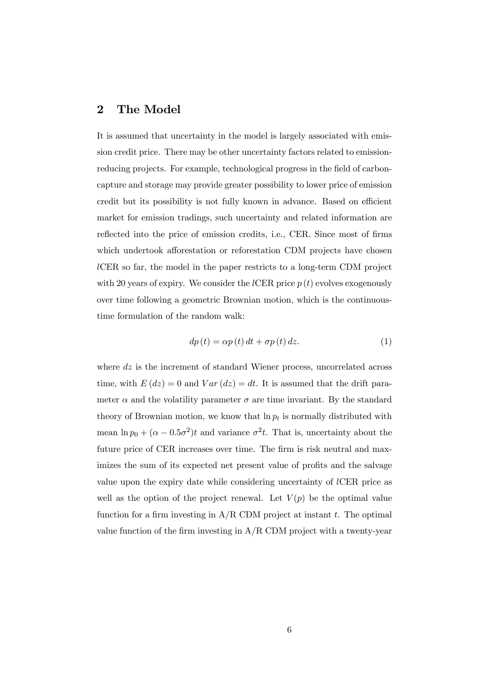# 2 The Model

It is assumed that uncertainty in the model is largely associated with emission credit price. There may be other uncertainty factors related to emissionreducing projects. For example, technological progress in the field of carboncapture and storage may provide greater possibility to lower price of emission credit but its possibility is not fully known in advance. Based on efficient market for emission tradings, such uncertainty and related information are reflected into the price of emission credits, i.e., CER. Since most of firms which undertook afforestation or reforestation CDM projects have chosen lCER so far, the model in the paper restricts to a long-term CDM project with 20 years of expiry. We consider the lCER price  $p(t)$  evolves exogenously over time following a geometric Brownian motion, which is the continuoustime formulation of the random walk:

$$
dp(t) = \alpha p(t) dt + \sigma p(t) dz.
$$
 (1)

where dz is the increment of standard Wiener process, uncorrelated across time, with  $E(dz)=0$  and  $Var(dz) = dt$ . It is assumed that the drift parameter  $\alpha$  and the volatility parameter  $\sigma$  are time invariant. By the standard theory of Brownian motion, we know that  $\ln p_t$  is normally distributed with mean  $\ln p_0 + (\alpha - 0.5\sigma^2)t$  and variance  $\sigma^2 t$ . That is, uncertainty about the future price of CER increases over time. The firm is risk neutral and maximizes the sum of its expected net present value of profits and the salvage value upon the expiry date while considering uncertainty of lCER price as well as the option of the project renewal. Let  $V(p)$  be the optimal value function for a firm investing in  $A/R$  CDM project at instant t. The optimal value function of the firm investing in  $A/R$  CDM project with a twenty-year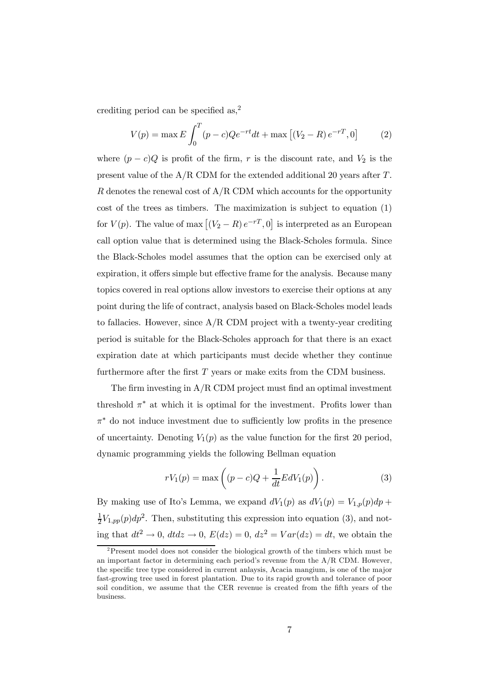crediting period can be specified as,<sup>2</sup>

$$
V(p) = \max E \int_0^T (p - c)Q e^{-rt} dt + \max [(V_2 - R) e^{-rT}, 0]
$$
 (2)

where  $(p - c)Q$  is profit of the firm, r is the discount rate, and  $V_2$  is the present value of the A/R CDM for the extended additional 20 years after T.  $R$  denotes the renewal cost of  $A/R$  CDM which accounts for the opportunity cost of the trees as timbers. The maximization is subject to equation (1) for  $V(p)$ . The value of max  $[(V_2 - R) e^{-rT}, 0]$  is interpreted as an European call option value that is determined using the Black-Scholes formula. Since the Black-Scholes model assumes that the option can be exercised only at expiration, it offers simple but effective frame for the analysis. Because many topics covered in real options allow investors to exercise their options at any point during the life of contract, analysis based on Black-Scholes model leads to fallacies. However, since A/R CDM project with a twenty-year crediting period is suitable for the Black-Scholes approach for that there is an exact expiration date at which participants must decide whether they continue furthermore after the first  $T$  years or make exits from the CDM business.

The firm investing in A/R CDM project must find an optimal investment threshold  $\pi^*$  at which it is optimal for the investment. Profits lower than  $\pi^*$  do not induce investment due to sufficiently low profits in the presence of uncertainty. Denoting  $V_1(p)$  as the value function for the first 20 period, dynamic programming yields the following Bellman equation

$$
rV_1(p) = \max\left((p-c)Q + \frac{1}{dt}EdV_1(p)\right).
$$
 (3)

By making use of Ito's Lemma, we expand  $dV_1(p)$  as  $dV_1(p) = V_{1,p}(p)dp +$  $\frac{1}{2}V_{1,pp}(p)dp^2$ . Then, substituting this expression into equation (3), and noting that  $dt^2 \to 0$ ,  $dt dz \to 0$ ,  $E(dz)=0$ ,  $dz^2 = Var(dz) = dt$ , we obtain the

<sup>&</sup>lt;sup>2</sup>Present model does not consider the biological growth of the timbers which must be an important factor in determining each period's revenue from the  $A/R$  CDM. However, the specific tree type considered in current anlaysis, Acacia mangium, is one of the major fast-growing tree used in forest plantation. Due to its rapid growth and tolerance of poor soil condition, we assume that the CER revenue is created from the fifth years of the business.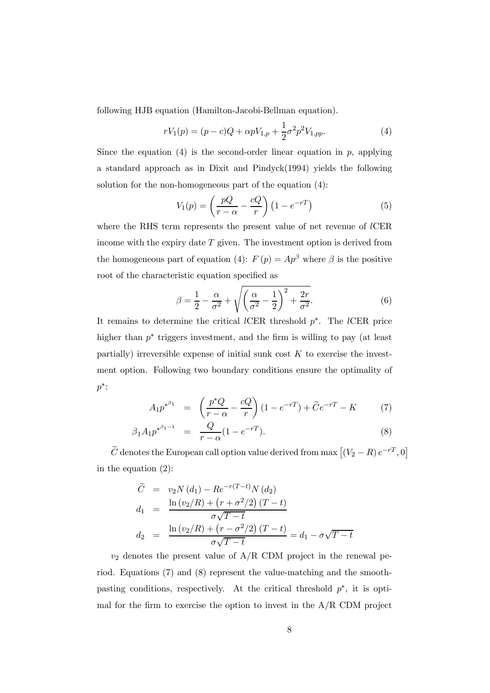following HJB equation (Hamilton-Jacobi-Bellman equation).

$$
rV_1(p) = (p - c)Q + \alpha p V_{1,p} + \frac{1}{2}\sigma^2 p^2 V_{1,pp}.
$$
\n(4)

Since the equation  $(4)$  is the second-order linear equation in p, applying a standard approach as in Dixit and Pindyck(1994) yields the following solution for the non-homogeneous part of the equation (4):

$$
V_1(p) = \left(\frac{pQ}{r-\alpha} - \frac{cQ}{r}\right) \left(1 - e^{-rT}\right) \tag{5}
$$

where the RHS term represents the present value of net revenue of lCER income with the expiry date  $T$  given. The investment option is derived from the homogeneous part of equation (4):  $F(p) = Ap^{\beta}$  where  $\beta$  is the positive root of the characteristic equation specified as

$$
\beta = \frac{1}{2} - \frac{\alpha}{\sigma^2} + \sqrt{\left(\frac{\alpha}{\sigma^2} - \frac{1}{2}\right)^2 + \frac{2r}{\sigma^2}}.
$$
\n(6)

It remains to determine the critical lCER threshold  $p^*$ . The lCER price higher than p∗ triggers investment, and the firm is willing to pay (at least partially) irreversible expense of initial sunk cost  $K$  to exercise the investment option. Following two boundary conditions ensure the optimality of  $p^*$ :

$$
A_1 p^{*^{\beta_1}} = \left(\frac{p^* Q}{r - \alpha} - \frac{cQ}{r}\right) (1 - e^{-rT}) + \tilde{C} e^{-rT} - K \tag{7}
$$

$$
\beta_1 A_1 p^{*^{\beta_1 - 1}} = \frac{Q}{r - \alpha} (1 - e^{-rT}). \tag{8}
$$

 $\widetilde{C}$  denotes the European call option value derived from  $\max [(V_2 - R) e^{-rT}, 0]$ in the equation (2):

$$
\begin{aligned}\n\widetilde{C} &= v_2 N \left( d_1 \right) - R e^{-r(T-t)} N \left( d_2 \right) \\
d_1 &= \frac{\ln \left( v_2 / R \right) + \left( r + \sigma^2 / 2 \right) (T - t)}{\sigma \sqrt{T - t}} \\
d_2 &= \frac{\ln \left( v_2 / R \right) + \left( r - \sigma^2 / 2 \right) (T - t)}{\sigma \sqrt{T - t}} = d_1 - \sigma \sqrt{T - t}\n\end{aligned}
$$

 $v_2$  denotes the present value of  $A/R$  CDM project in the renewal period. Equations (7) and (8) represent the value-matching and the smoothpasting conditions, respectively. At the critical threshold  $p^*$ , it is optimal for the firm to exercise the option to invest in the  $A/R$  CDM project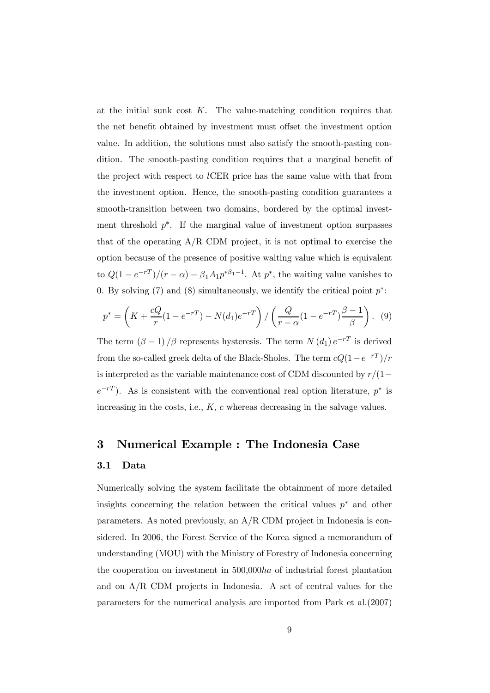at the initial sunk cost K. The value-matching condition requires that the net benefit obtained by investment must offset the investment option value. In addition, the solutions must also satisfy the smooth-pasting condition. The smooth-pasting condition requires that a marginal benefit of the project with respect to lCER price has the same value with that from the investment option. Hence, the smooth-pasting condition guarantees a smooth-transition between two domains, bordered by the optimal investment threshold  $p^*$ . If the marginal value of investment option surpasses that of the operating  $A/R$  CDM project, it is not optimal to exercise the option because of the presence of positive waiting value which is equivalent to  $Q(1 - e^{-rT})/(r - \alpha) - \beta_1 A_1 p^{*\beta_1 - 1}$ . At  $p^*$ , the waiting value vanishes to 0. By solving (7) and (8) simultaneously, we identify the critical point  $p^*$ :

$$
p^* = \left( K + \frac{cQ}{r} (1 - e^{-rT}) - N(d_1) e^{-rT} \right) / \left( \frac{Q}{r - \alpha} (1 - e^{-rT}) \frac{\beta - 1}{\beta} \right). \tag{9}
$$

The term  $(\beta - 1)/\beta$  represents hysteresis. The term  $N(d_1) e^{-rT}$  is derived from the so-called greek delta of the Black-Sholes. The term  $cQ(1-e^{-rT})/r$ is interpreted as the variable maintenance cost of CDM discounted by  $r/(1-\epsilon)$  $e^{-rT}$ ). As is consistent with the conventional real option literature,  $p^*$  is increasing in the costs, i.e.,  $K$ ,  $c$  whereas decreasing in the salvage values.

#### 3 Numerical Example : The Indonesia Case

#### 3.1 Data

Numerically solving the system facilitate the obtainment of more detailed insights concerning the relation between the critical values  $p^*$  and other parameters. As noted previously, an A/R CDM project in Indonesia is considered. In 2006, the Forest Service of the Korea signed a memorandum of understanding (MOU) with the Ministry of Forestry of Indonesia concerning the cooperation on investment in 500,000ha of industrial forest plantation and on A/R CDM projects in Indonesia. A set of central values for the parameters for the numerical analysis are imported from Park et al.(2007)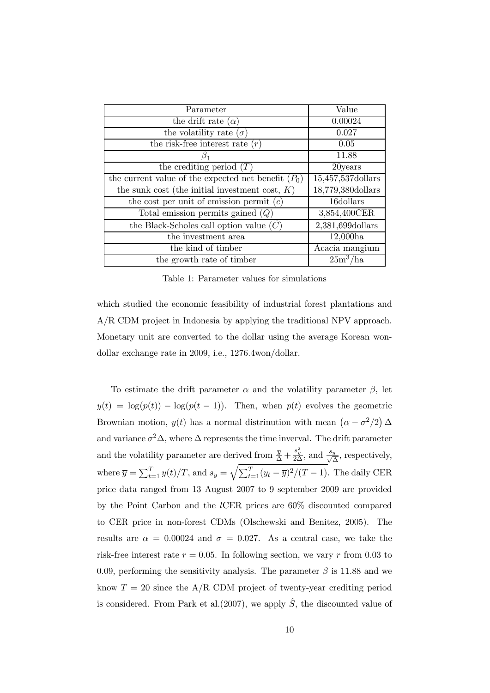| Parameter                                             | Value             |
|-------------------------------------------------------|-------------------|
| the drift rate $(\alpha)$                             | 0.00024           |
| the volatility rate $(\sigma)$                        | 0.027             |
| the risk-free interest rate $(r)$                     | 0.05              |
|                                                       | 11.88             |
| the crediting period $(T)$                            | 20years           |
| the current value of the expected net benefit $(P_0)$ | 15,457,537dollars |
| the sunk cost (the initial investment cost, $K$ )     | 18,779,380dollars |
| the cost per unit of emission permit $(c)$            | 16dollars         |
| Total emission permits gained $(Q)$                   | 3,854,400CER      |
| the Black-Scholes call option value $(C)$             | 2,381,699dollars  |
| the investment area                                   | $12,000$ ha       |
| the kind of timber                                    | Acacia mangium    |
| the growth rate of timber                             | $25m^3/ha$        |

Table 1: Parameter values for simulations

which studied the economic feasibility of industrial forest plantations and A/R CDM project in Indonesia by applying the traditional NPV approach. Monetary unit are converted to the dollar using the average Korean wondollar exchange rate in 2009, i.e., 1276.4won/dollar.

To estimate the drift parameter  $\alpha$  and the volatility parameter  $\beta$ , let  $y(t) = \log(p(t)) - \log(p(t-1))$ . Then, when  $p(t)$  evolves the geometric Brownian motion,  $y(t)$  has a normal distrinution with mean  $(\alpha - \sigma^2/2) \Delta$ and variance  $\sigma^2 \Delta$ , where  $\Delta$  represents the time inverval. The drift parameter and the volatility parameter are derived from  $\frac{\overline{y}}{\Delta} + \frac{s_y^2}{2\Delta}$ , and  $\frac{s_y}{\sqrt{\Delta}}$ , respectively, where  $\overline{y} = \sum_{t=1}^{T} y(t)/T$ , and  $s_y = \sqrt{\sum_{t=1}^{T} (y_t - \overline{y})^2/(T-1)}$ . The daily CER price data ranged from 13 August 2007 to 9 september 2009 are provided by the Point Carbon and the lCER prices are 60% discounted compared to CER price in non-forest CDMs (Olschewski and Benitez, 2005). The results are  $\alpha = 0.00024$  and  $\sigma = 0.027$ . As a central case, we take the risk-free interest rate  $r = 0.05$ . In following section, we vary r from 0.03 to 0.09, performing the sensitivity analysis. The parameter  $\beta$  is 11.88 and we know  $T = 20$  since the A/R CDM project of twenty-year crediting period is considered. From Park et al.(2007), we apply  $\hat{S}$ , the discounted value of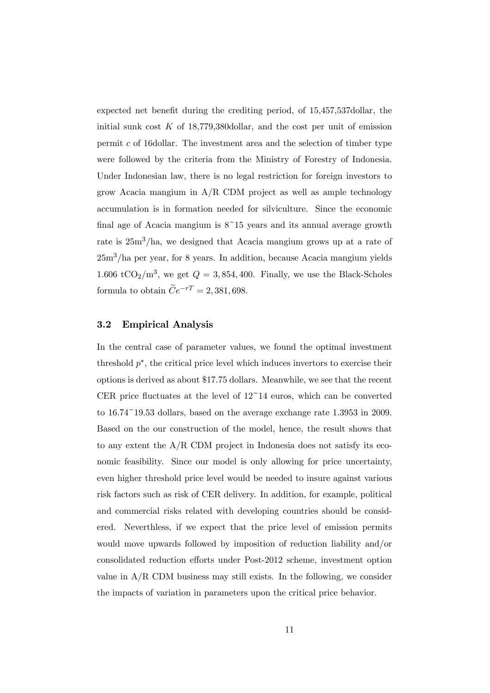expected net benefit during the crediting period, of 15,457,537dollar, the initial sunk cost  $K$  of 18,779,380 dollar, and the cost per unit of emission permit c of 16dollar. The investment area and the selection of timber type were followed by the criteria from the Ministry of Forestry of Indonesia. Under Indonesian law, there is no legal restriction for foreign investors to grow Acacia mangium in A/R CDM project as well as ample technology accumulation is in formation needed for silviculture. Since the economic final age of Acacia mangium is  $8<sup>15</sup>$  years and its annual average growth rate is 25m3/ha, we designed that Acacia mangium grows up at a rate of  $25m<sup>3</sup>/ha$  per year, for 8 years. In addition, because Acacia mangium yields 1.606 tCO<sub>2</sub>/m<sup>3</sup>, we get  $Q = 3,854,400$ . Finally, we use the Black-Scholes formula to obtain  $\tilde{C}e^{-rT} = 2,381,698$ .

#### 3.2 Empirical Analysis

In the central case of parameter values, we found the optimal investment threshold  $p^*$ , the critical price level which induces invertors to exercise their options is derived as about \$17.75 dollars. Meanwhile, we see that the recent CER price fluctuates at the level of  $12^{\degree}14$  euros, which can be converted to 16.74~19.53 dollars, based on the average exchange rate 1.3953 in 2009. Based on the our construction of the model, hence, the result shows that to any extent the A/R CDM project in Indonesia does not satisfy its economic feasibility. Since our model is only allowing for price uncertainty, even higher threshold price level would be needed to insure against various risk factors such as risk of CER delivery. In addition, for example, political and commercial risks related with developing countries should be considered. Neverthless, if we expect that the price level of emission permits would move upwards followed by imposition of reduction liability and/or consolidated reduction efforts under Post-2012 scheme, investment option value in  $A/R$  CDM business may still exists. In the following, we consider the impacts of variation in parameters upon the critical price behavior.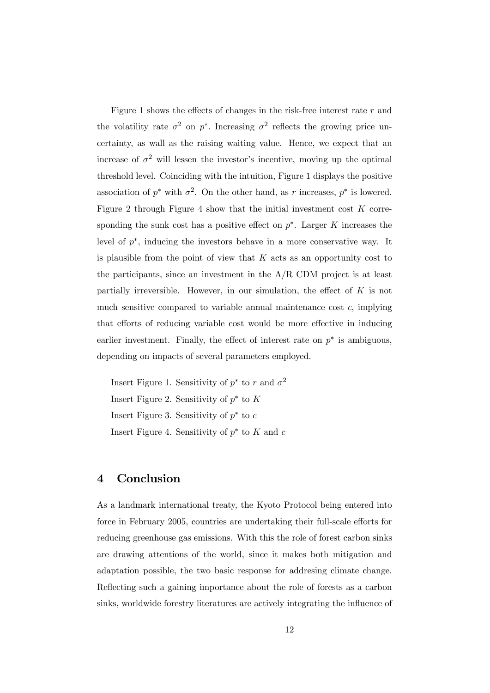Figure 1 shows the effects of changes in the risk-free interest rate  $r$  and the volatility rate  $\sigma^2$  on  $p^*$ . Increasing  $\sigma^2$  reflects the growing price uncertainty, as wall as the raising waiting value. Hence, we expect that an increase of  $\sigma^2$  will lessen the investor's incentive, moving up the optimal threshold level. Coinciding with the intuition, Figure 1 displays the positive association of  $p^*$  with  $\sigma^2$ . On the other hand, as r increases,  $p^*$  is lowered. Figure 2 through Figure 4 show that the initial investment cost K corresponding the sunk cost has a positive effect on  $p^*$ . Larger K increases the level of  $p^*$ , inducing the investors behave in a more conservative way. It is plausible from the point of view that  $K$  acts as an opportunity cost to the participants, since an investment in the  $A/R$  CDM project is at least partially irreversible. However, in our simulation, the effect of  $K$  is not much sensitive compared to variable annual maintenance cost  $c$ , implying that efforts of reducing variable cost would be more effective in inducing earlier investment. Finally, the effect of interest rate on  $p^*$  is ambiguous, depending on impacts of several parameters employed.

Insert Figure 1. Sensitivity of  $p^*$  to r and  $\sigma^2$ Insert Figure 2. Sensitivity of  $p^*$  to K Insert Figure 3. Sensitivity of  $p^*$  to c Insert Figure 4. Sensitivity of  $p^*$  to K and c

## 4 Conclusion

As a landmark international treaty, the Kyoto Protocol being entered into force in February 2005, countries are undertaking their full-scale efforts for reducing greenhouse gas emissions. With this the role of forest carbon sinks are drawing attentions of the world, since it makes both mitigation and adaptation possible, the two basic response for addresing climate change. Reflecting such a gaining importance about the role of forests as a carbon sinks, worldwide forestry literatures are actively integrating the influence of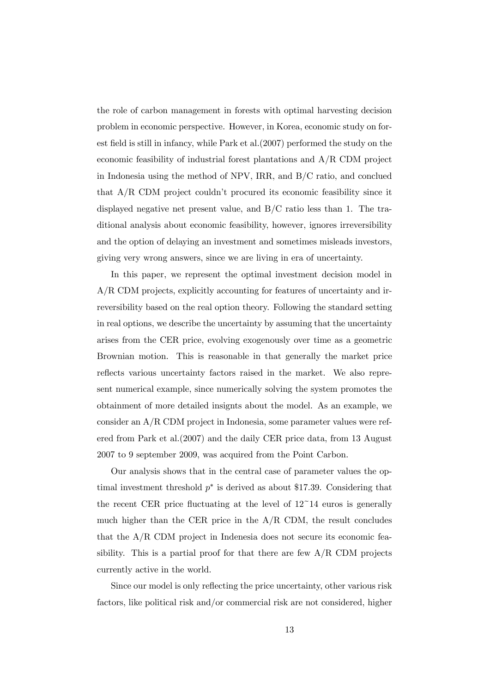the role of carbon management in forests with optimal harvesting decision problem in economic perspective. However, in Korea, economic study on forest field is still in infancy, while Park et al.(2007) performed the study on the economic feasibility of industrial forest plantations and A/R CDM project in Indonesia using the method of NPV, IRR, and B/C ratio, and conclued that A/R CDM project couldn't procured its economic feasibility since it displayed negative net present value, and B/C ratio less than 1. The traditional analysis about economic feasibility, however, ignores irreversibility and the option of delaying an investment and sometimes misleads investors, giving very wrong answers, since we are living in era of uncertainty.

In this paper, we represent the optimal investment decision model in A/R CDM projects, explicitly accounting for features of uncertainty and irreversibility based on the real option theory. Following the standard setting in real options, we describe the uncertainty by assuming that the uncertainty arises from the CER price, evolving exogenously over time as a geometric Brownian motion. This is reasonable in that generally the market price reflects various uncertainty factors raised in the market. We also represent numerical example, since numerically solving the system promotes the obtainment of more detailed insignts about the model. As an example, we consider an A/R CDM project in Indonesia, some parameter values were refered from Park et al.(2007) and the daily CER price data, from 13 August 2007 to 9 september 2009, was acquired from the Point Carbon.

Our analysis shows that in the central case of parameter values the optimal investment threshold  $p^*$  is derived as about \$17.39. Considering that the recent CER price fluctuating at the level of  $12<sup>14</sup>$  euros is generally much higher than the CER price in the  $A/R$  CDM, the result concludes that the A/R CDM project in Indenesia does not secure its economic feasibility. This is a partial proof for that there are few  $A/R$  CDM projects currently active in the world.

Since our model is only reflecting the price uncertainty, other various risk factors, like political risk and/or commercial risk are not considered, higher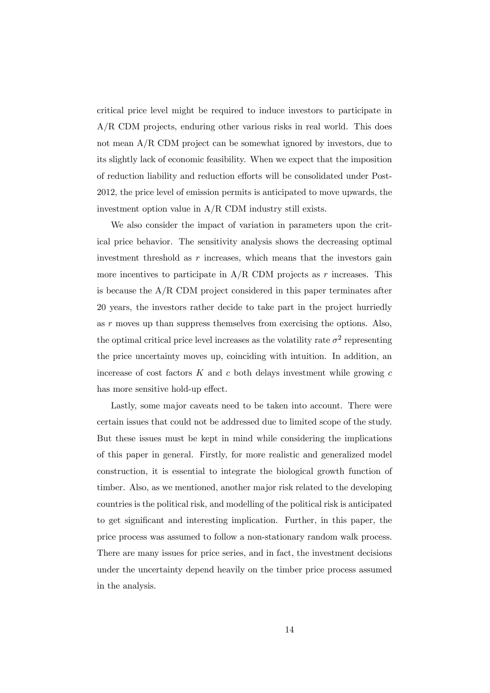critical price level might be required to induce investors to participate in A/R CDM projects, enduring other various risks in real world. This does not mean A/R CDM project can be somewhat ignored by investors, due to its slightly lack of economic feasibility. When we expect that the imposition of reduction liability and reduction efforts will be consolidated under Post-2012, the price level of emission permits is anticipated to move upwards, the investment option value in A/R CDM industry still exists.

We also consider the impact of variation in parameters upon the critical price behavior. The sensitivity analysis shows the decreasing optimal investment threshold as  $r$  increases, which means that the investors gain more incentives to participate in  $A/R$  CDM projects as r increases. This is because the  $A/R$  CDM project considered in this paper terminates after 20 years, the investors rather decide to take part in the project hurriedly as r moves up than suppress themselves from exercising the options. Also, the optimal critical price level increases as the volatility rate  $\sigma^2$  representing the price uncertainty moves up, coinciding with intuition. In addition, an incerease of cost factors  $K$  and  $c$  both delays investment while growing  $c$ has more sensitive hold-up effect.

Lastly, some major caveats need to be taken into account. There were certain issues that could not be addressed due to limited scope of the study. But these issues must be kept in mind while considering the implications of this paper in general. Firstly, for more realistic and generalized model construction, it is essential to integrate the biological growth function of timber. Also, as we mentioned, another major risk related to the developing countries is the political risk, and modelling of the political risk is anticipated to get significant and interesting implication. Further, in this paper, the price process was assumed to follow a non-stationary random walk process. There are many issues for price series, and in fact, the investment decisions under the uncertainty depend heavily on the timber price process assumed in the analysis.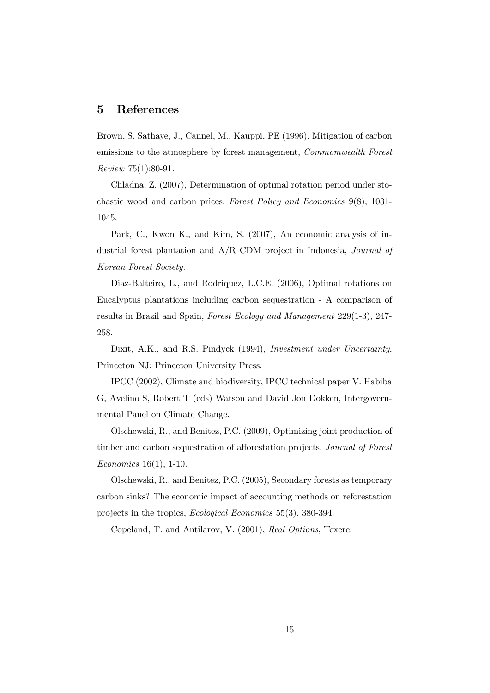### 5 References

Brown, S, Sathaye, J., Cannel, M., Kauppi, PE (1996), Mitigation of carbon emissions to the atmosphere by forest management, Commomwealth Forest Review 75(1):80-91.

Chladna, Z. (2007), Determination of optimal rotation period under stochastic wood and carbon prices, Forest Policy and Economics 9(8), 1031- 1045.

Park, C., Kwon K., and Kim, S. (2007), An economic analysis of industrial forest plantation and A/R CDM project in Indonesia, Journal of Korean Forest Society.

Diaz-Balteiro, L., and Rodriquez, L.C.E. (2006), Optimal rotations on Eucalyptus plantations including carbon sequestration - A comparison of results in Brazil and Spain, Forest Ecology and Management 229(1-3), 247- 258.

Dixit, A.K., and R.S. Pindyck (1994), *Investment under Uncertainty*, Princeton NJ: Princeton University Press.

IPCC (2002), Climate and biodiversity, IPCC technical paper V. Habiba G, Avelino S, Robert T (eds) Watson and David Jon Dokken, Intergovernmental Panel on Climate Change.

Olschewski, R., and Benitez, P.C. (2009), Optimizing joint production of timber and carbon sequestration of afforestation projects, Journal of Forest Economics 16(1), 1-10.

Olschewski, R., and Benitez, P.C. (2005), Secondary forests as temporary carbon sinks? The economic impact of accounting methods on reforestation projects in the tropics, Ecological Economics 55(3), 380-394.

Copeland, T. and Antilarov, V. (2001), Real Options, Texere.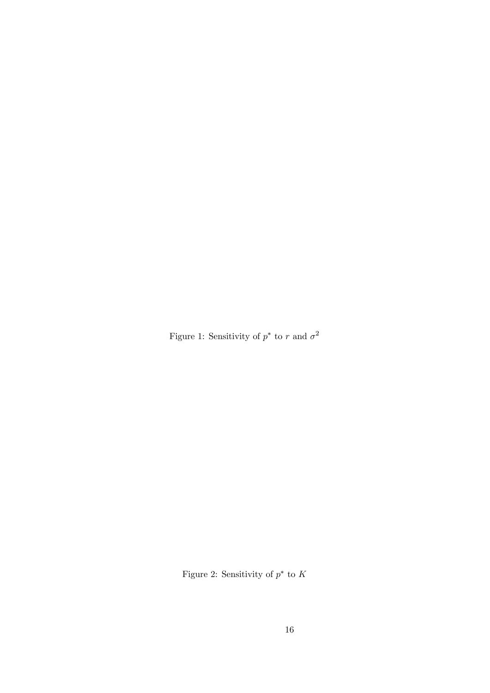Figure 1: Sensitivity of  $p^*$  to  $r$  and  $\sigma^2$ 

Figure 2: Sensitivity of  $p^*$  to  $K$